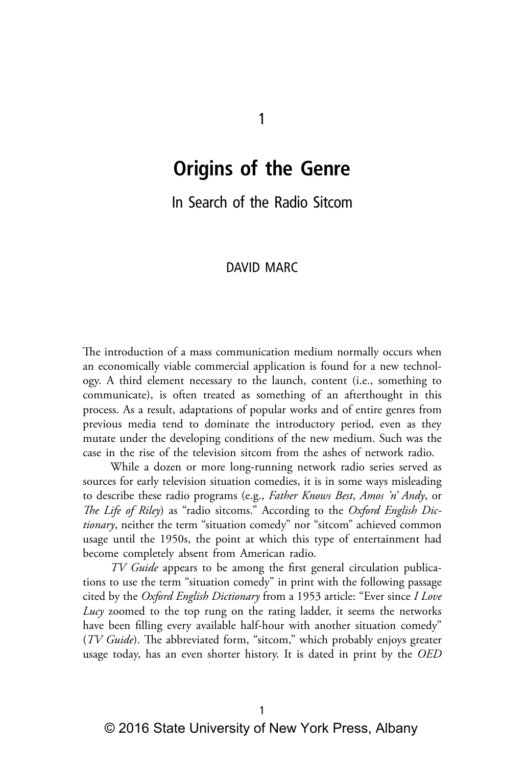# **Origins of the Genre**

In Search of the Radio Sitcom

#### DAVID MARC

The introduction of a mass communication medium normally occurs when an economically viable commercial application is found for a new technology. A third element necessary to the launch, content (i.e., something to communicate), is often treated as something of an afterthought in this process. As a result, adaptations of popular works and of entire genres from previous media tend to dominate the introductory period, even as they mutate under the developing conditions of the new medium. Such was the case in the rise of the television sitcom from the ashes of network radio.

While a dozen or more long-running network radio series served as sources for early television situation comedies, it is in some ways misleading to describe these radio programs (e.g., *Father Knows Best*, *Amos 'n' Andy*, or *The Life of Riley*) as "radio sitcoms." According to the *Oxford English Dictionary*, neither the term "situation comedy" nor "sitcom" achieved common usage until the 1950s, the point at which this type of entertainment had become completely absent from American radio.

*TV Guide* appears to be among the first general circulation publications to use the term "situation comedy" in print with the following passage cited by the *Oxford English Dictionary* from a 1953 article: "Ever since *I Love Lucy* zoomed to the top rung on the rating ladder, it seems the networks have been filling every available half-hour with another situation comedy" (*TV Guide*). The abbreviated form, "sitcom," which probably enjoys greater usage today, has an even shorter history. It is dated in print by the *OED*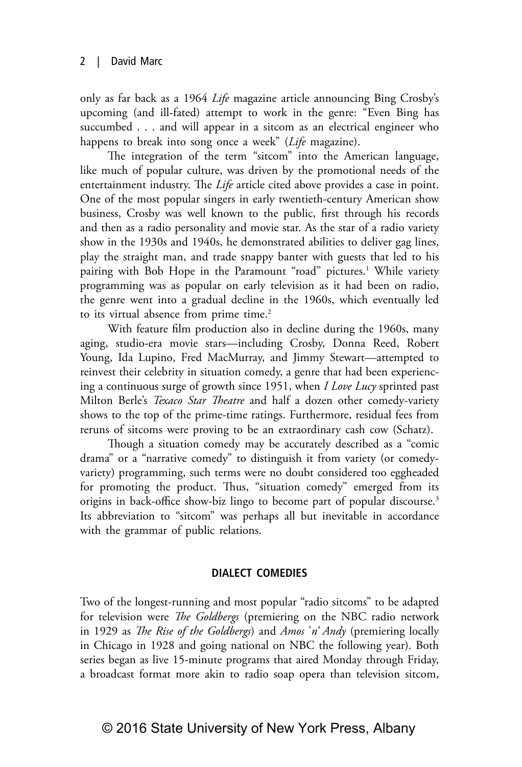only as far back as a 1964 *Life* magazine article announcing Bing Crosby's upcoming (and ill-fated) attempt to work in the genre: "Even Bing has succumbed . . . and will appear in a sitcom as an electrical engineer who happens to break into song once a week" (*Life* magazine).

The integration of the term "sitcom" into the American language, like much of popular culture, was driven by the promotional needs of the entertainment industry. The *Life* article cited above provides a case in point. One of the most popular singers in early twentieth-century American show business, Crosby was well known to the public, first through his records and then as a radio personality and movie star. As the star of a radio variety show in the 1930s and 1940s, he demonstrated abilities to deliver gag lines, play the straight man, and trade snappy banter with guests that led to his pairing with Bob Hope in the Paramount "road" pictures.<sup>1</sup> While variety programming was as popular on early television as it had been on radio, the genre went into a gradual decline in the 1960s, which eventually led to its virtual absence from prime time.<sup>2</sup>

With feature film production also in decline during the 1960s, many aging, studio-era movie stars—including Crosby, Donna Reed, Robert Young, Ida Lupino, Fred MacMurray, and Jimmy Stewart—attempted to reinvest their celebrity in situation comedy, a genre that had been experiencing a continuous surge of growth since 1951, when *I Love Lucy* sprinted past Milton Berle's *Texaco Star Theatre* and half a dozen other comedy-variety shows to the top of the prime-time ratings. Furthermore, residual fees from reruns of sitcoms were proving to be an extraordinary cash cow (Schatz).

Though a situation comedy may be accurately described as a "comic drama" or a "narrative comedy" to distinguish it from variety (or comedyvariety) programming, such terms were no doubt considered too eggheaded for promoting the product. Thus, "situation comedy" emerged from its origins in back-office show-biz lingo to become part of popular discourse.<sup>3</sup> Its abbreviation to "sitcom" was perhaps all but inevitable in accordance with the grammar of public relations.

### **DIALECT COMEDIES**

Two of the longest-running and most popular "radio sitcoms" to be adapted for television were *The Goldbergs* (premiering on the NBC radio network in 1929 as *The Rise of the Goldbergs*) and *Amos* '*n' Andy* (premiering locally in Chicago in 1928 and going national on NBC the following year). Both series began as live 15-minute programs that aired Monday through Friday, a broadcast format more akin to radio soap opera than television sitcom,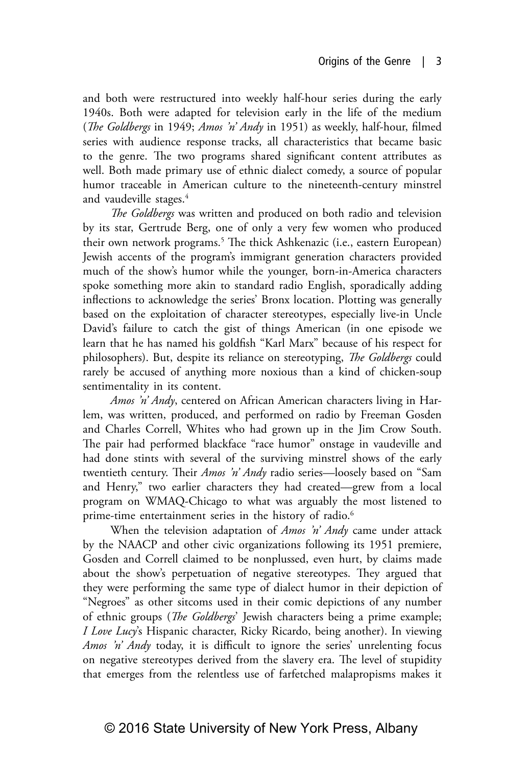and both were restructured into weekly half-hour series during the early 1940s. Both were adapted for television early in the life of the medium (*The Goldbergs* in 1949; *Amos 'n' Andy* in 1951) as weekly, half-hour, filmed series with audience response tracks, all characteristics that became basic to the genre. The two programs shared significant content attributes as well. Both made primary use of ethnic dialect comedy, a source of popular humor traceable in American culture to the nineteenth-century minstrel and vaudeville stages.<sup>4</sup>

*The Goldbergs* was written and produced on both radio and television by its star, Gertrude Berg, one of only a very few women who produced their own network programs.<sup>5</sup> The thick Ashkenazic (i.e., eastern European) Jewish accents of the program's immigrant generation characters provided much of the show's humor while the younger, born-in-America characters spoke something more akin to standard radio English, sporadically adding inflections to acknowledge the series' Bronx location. Plotting was generally based on the exploitation of character stereotypes, especially live-in Uncle David's failure to catch the gist of things American (in one episode we learn that he has named his goldfish "Karl Marx" because of his respect for philosophers). But, despite its reliance on stereotyping, *The Goldbergs* could rarely be accused of anything more noxious than a kind of chicken-soup sentimentality in its content.

*Amos 'n' Andy*, centered on African American characters living in Harlem, was written, produced, and performed on radio by Freeman Gosden and Charles Correll, Whites who had grown up in the Jim Crow South. The pair had performed blackface "race humor" onstage in vaudeville and had done stints with several of the surviving minstrel shows of the early twentieth century. Their *Amos 'n' Andy* radio series—loosely based on "Sam and Henry," two earlier characters they had created—grew from a local program on WMAQ-Chicago to what was arguably the most listened to prime-time entertainment series in the history of radio.<sup>6</sup>

When the television adaptation of *Amos 'n' Andy* came under attack by the NAACP and other civic organizations following its 1951 premiere, Gosden and Correll claimed to be nonplussed, even hurt, by claims made about the show's perpetuation of negative stereotypes. They argued that they were performing the same type of dialect humor in their depiction of "Negroes" as other sitcoms used in their comic depictions of any number of ethnic groups (*The Goldbergs*' Jewish characters being a prime example; *I Love Lucy*'s Hispanic character, Ricky Ricardo, being another). In viewing *Amos 'n' Andy* today, it is difficult to ignore the series' unrelenting focus on negative stereotypes derived from the slavery era. The level of stupidity that emerges from the relentless use of farfetched malapropisms makes it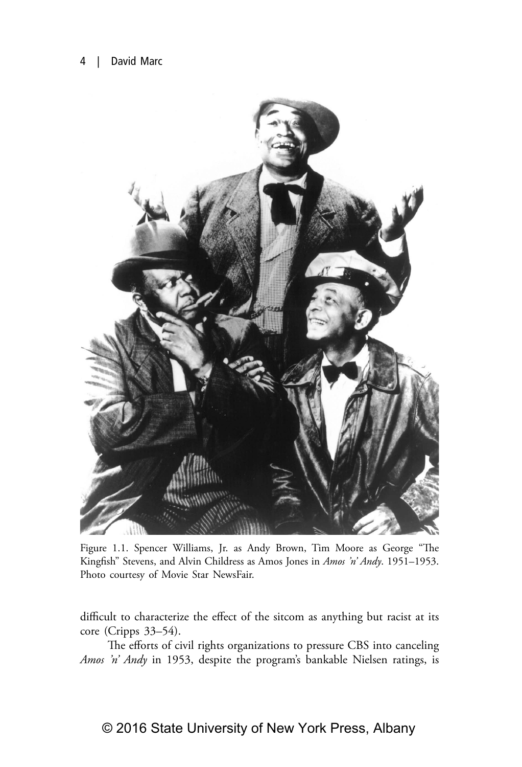

Figure 1.1. Spencer Williams, Jr. as Andy Brown, Tim Moore as George "The Kingfish" Stevens, and Alvin Childress as Amos Jones in *Amos 'n' Andy*. 1951–1953. Photo courtesy of Movie Star NewsFair.

difficult to characterize the effect of the sitcom as anything but racist at its core (Cripps 33–54).

The efforts of civil rights organizations to pressure CBS into canceling *Amos 'n' Andy* in 1953, despite the program's bankable Nielsen ratings, is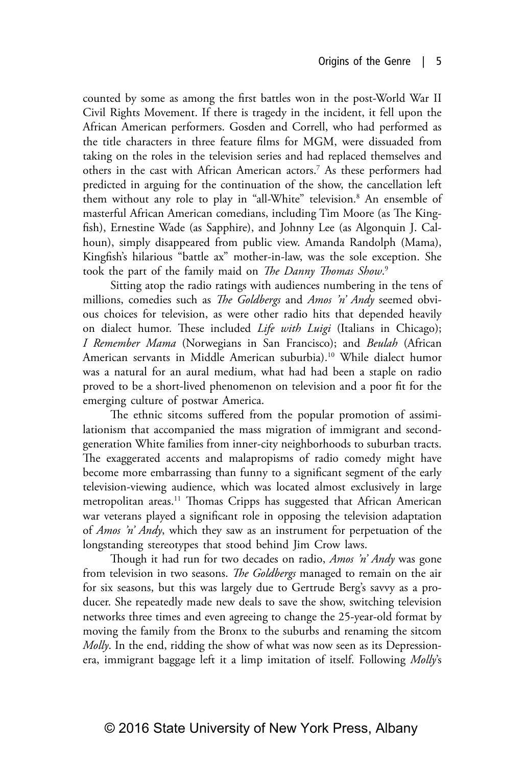counted by some as among the first battles won in the post-World War II Civil Rights Movement. If there is tragedy in the incident, it fell upon the African American performers. Gosden and Correll, who had performed as the title characters in three feature films for MGM, were dissuaded from taking on the roles in the television series and had replaced themselves and others in the cast with African American actors.7 As these performers had predicted in arguing for the continuation of the show, the cancellation left them without any role to play in "all-White" television.<sup>8</sup> An ensemble of masterful African American comedians, including Tim Moore (as The Kingfish), Ernestine Wade (as Sapphire), and Johnny Lee (as Algonquin J. Calhoun), simply disappeared from public view. Amanda Randolph (Mama), Kingfish's hilarious "battle ax" mother-in-law, was the sole exception. She took the part of the family maid on *The Danny Thomas Show*. 9

Sitting atop the radio ratings with audiences numbering in the tens of millions, comedies such as *The Goldbergs* and *Amos 'n' Andy* seemed obvious choices for television, as were other radio hits that depended heavily on dialect humor. These included *Life with Luigi* (Italians in Chicago); *I Remember Mama* (Norwegians in San Francisco); and *Beulah* (African American servants in Middle American suburbia).<sup>10</sup> While dialect humor was a natural for an aural medium, what had had been a staple on radio proved to be a short-lived phenomenon on television and a poor fit for the emerging culture of postwar America.

The ethnic sitcoms suffered from the popular promotion of assimilationism that accompanied the mass migration of immigrant and secondgeneration White families from inner-city neighborhoods to suburban tracts. The exaggerated accents and malapropisms of radio comedy might have become more embarrassing than funny to a significant segment of the early television-viewing audience, which was located almost exclusively in large metropolitan areas.<sup>11</sup> Thomas Cripps has suggested that African American war veterans played a significant role in opposing the television adaptation of *Amos 'n' Andy*, which they saw as an instrument for perpetuation of the longstanding stereotypes that stood behind Jim Crow laws.

Though it had run for two decades on radio, *Amos 'n' Andy* was gone from television in two seasons. *The Goldbergs* managed to remain on the air for six seasons, but this was largely due to Gertrude Berg's savvy as a producer. She repeatedly made new deals to save the show, switching television networks three times and even agreeing to change the 25-year-old format by moving the family from the Bronx to the suburbs and renaming the sitcom *Molly*. In the end, ridding the show of what was now seen as its Depressionera, immigrant baggage left it a limp imitation of itself. Following *Molly*'s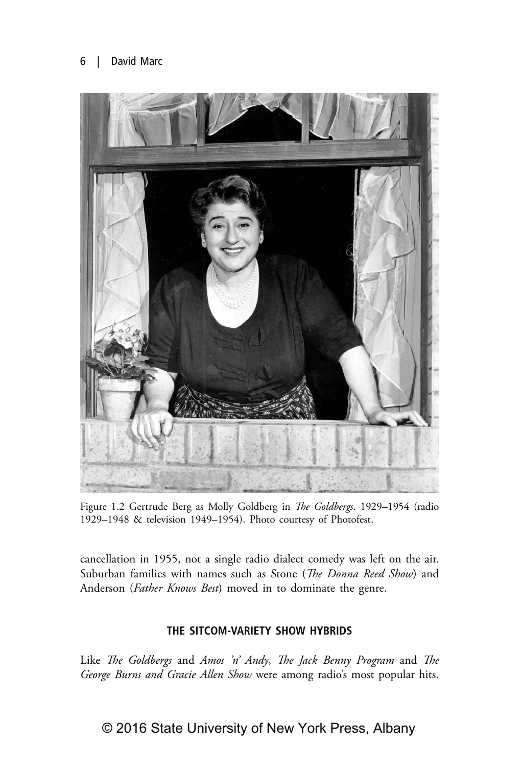

Figure 1.2 Gertrude Berg as Molly Goldberg in *The Goldbergs*. 1929–1954 (radio 1929–1948 & television 1949–1954). Photo courtesy of Photofest.

cancellation in 1955, not a single radio dialect comedy was left on the air. Suburban families with names such as Stone (*The Donna Reed Show*) and Anderson (*Father Knows Best*) moved in to dominate the genre.

### **THE SITCOM-VARIETY SHOW HYBRIDS**

Like *The Goldbergs* and *Amos 'n' Andy*, *The Jack Benny Program* and *The George Burns and Gracie Allen Show* were among radio's most popular hits.

# © 2016 State University of New York Press, Albany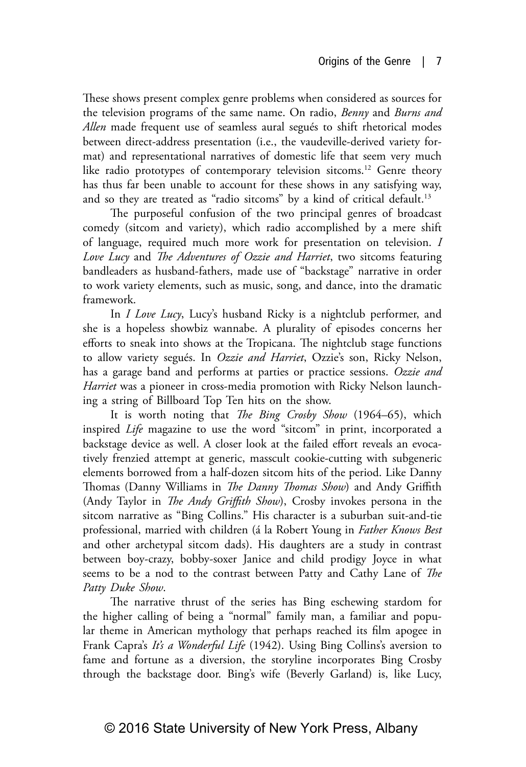These shows present complex genre problems when considered as sources for the television programs of the same name. On radio, *Benny* and *Burns and Allen* made frequent use of seamless aural segués to shift rhetorical modes between direct-address presentation (i.e., the vaudeville-derived variety format) and representational narratives of domestic life that seem very much like radio prototypes of contemporary television sitcoms.<sup>12</sup> Genre theory has thus far been unable to account for these shows in any satisfying way, and so they are treated as "radio sitcoms" by a kind of critical default.<sup>13</sup>

The purposeful confusion of the two principal genres of broadcast comedy (sitcom and variety), which radio accomplished by a mere shift of language, required much more work for presentation on television. *I Love Lucy* and *The Adventures of Ozzie and Harriet*, two sitcoms featuring bandleaders as husband-fathers, made use of "backstage" narrative in order to work variety elements, such as music, song, and dance, into the dramatic framework.

In *I Love Lucy*, Lucy's husband Ricky is a nightclub performer, and she is a hopeless showbiz wannabe. A plurality of episodes concerns her efforts to sneak into shows at the Tropicana. The nightclub stage functions to allow variety segués. In *Ozzie and Harriet*, Ozzie's son, Ricky Nelson, has a garage band and performs at parties or practice sessions. *Ozzie and Harriet* was a pioneer in cross-media promotion with Ricky Nelson launching a string of Billboard Top Ten hits on the show.

It is worth noting that *The Bing Crosby Show* (1964–65), which inspired *Life* magazine to use the word "sitcom" in print, incorporated a backstage device as well. A closer look at the failed effort reveals an evocatively frenzied attempt at generic, masscult cookie-cutting with subgeneric elements borrowed from a half-dozen sitcom hits of the period. Like Danny Thomas (Danny Williams in *The Danny Thomas Show*) and Andy Griffith (Andy Taylor in *The Andy Griffith Show*), Crosby invokes persona in the sitcom narrative as "Bing Collins." His character is a suburban suit-and-tie professional, married with children (á la Robert Young in *Father Knows Best*  and other archetypal sitcom dads). His daughters are a study in contrast between boy-crazy, bobby-soxer Janice and child prodigy Joyce in what seems to be a nod to the contrast between Patty and Cathy Lane of *The Patty Duke Show*.

The narrative thrust of the series has Bing eschewing stardom for the higher calling of being a "normal" family man, a familiar and popular theme in American mythology that perhaps reached its film apogee in Frank Capra's *It's a Wonderful Life* (1942). Using Bing Collins's aversion to fame and fortune as a diversion, the storyline incorporates Bing Crosby through the backstage door. Bing's wife (Beverly Garland) is, like Lucy,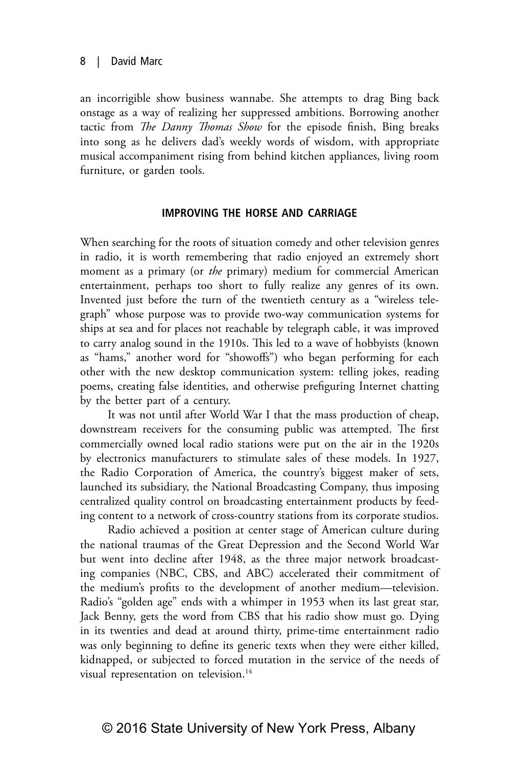an incorrigible show business wannabe. She attempts to drag Bing back onstage as a way of realizing her suppressed ambitions. Borrowing another tactic from *The Danny Thomas Show* for the episode finish, Bing breaks into song as he delivers dad's weekly words of wisdom, with appropriate musical accompaniment rising from behind kitchen appliances, living room furniture, or garden tools.

#### **IMPROVING THE HORSE AND CARRIAGE**

When searching for the roots of situation comedy and other television genres in radio, it is worth remembering that radio enjoyed an extremely short moment as a primary (or *the* primary) medium for commercial American entertainment, perhaps too short to fully realize any genres of its own. Invented just before the turn of the twentieth century as a "wireless telegraph" whose purpose was to provide two-way communication systems for ships at sea and for places not reachable by telegraph cable, it was improved to carry analog sound in the 1910s. This led to a wave of hobbyists (known as "hams," another word for "showoffs") who began performing for each other with the new desktop communication system: telling jokes, reading poems, creating false identities, and otherwise prefiguring Internet chatting by the better part of a century.

It was not until after World War I that the mass production of cheap, downstream receivers for the consuming public was attempted. The first commercially owned local radio stations were put on the air in the 1920s by electronics manufacturers to stimulate sales of these models. In 1927, the Radio Corporation of America, the country's biggest maker of sets, launched its subsidiary, the National Broadcasting Company, thus imposing centralized quality control on broadcasting entertainment products by feeding content to a network of cross-country stations from its corporate studios.

Radio achieved a position at center stage of American culture during the national traumas of the Great Depression and the Second World War but went into decline after 1948, as the three major network broadcasting companies (NBC, CBS, and ABC) accelerated their commitment of the medium's profits to the development of another medium—television. Radio's "golden age" ends with a whimper in 1953 when its last great star, Jack Benny, gets the word from CBS that his radio show must go. Dying in its twenties and dead at around thirty, prime-time entertainment radio was only beginning to define its generic texts when they were either killed, kidnapped, or subjected to forced mutation in the service of the needs of visual representation on television.<sup>14</sup>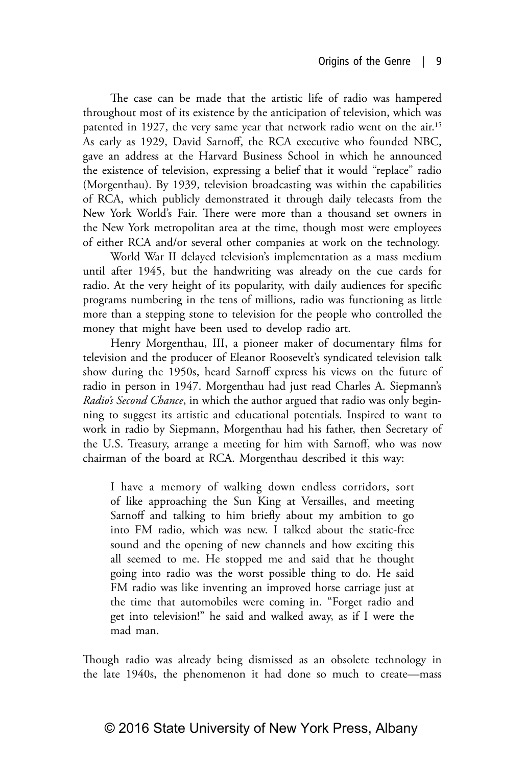The case can be made that the artistic life of radio was hampered throughout most of its existence by the anticipation of television, which was patented in 1927, the very same year that network radio went on the air.<sup>15</sup> As early as 1929, David Sarnoff, the RCA executive who founded NBC, gave an address at the Harvard Business School in which he announced the existence of television, expressing a belief that it would "replace" radio (Morgenthau). By 1939, television broadcasting was within the capabilities of RCA, which publicly demonstrated it through daily telecasts from the New York World's Fair. There were more than a thousand set owners in the New York metropolitan area at the time, though most were employees of either RCA and/or several other companies at work on the technology.

World War II delayed television's implementation as a mass medium until after 1945, but the handwriting was already on the cue cards for radio. At the very height of its popularity, with daily audiences for specific programs numbering in the tens of millions, radio was functioning as little more than a stepping stone to television for the people who controlled the money that might have been used to develop radio art.

Henry Morgenthau, III, a pioneer maker of documentary films for television and the producer of Eleanor Roosevelt's syndicated television talk show during the 1950s, heard Sarnoff express his views on the future of radio in person in 1947. Morgenthau had just read Charles A. Siepmann's *Radio's Second Chance*, in which the author argued that radio was only beginning to suggest its artistic and educational potentials. Inspired to want to work in radio by Siepmann, Morgenthau had his father, then Secretary of the U.S. Treasury, arrange a meeting for him with Sarnoff, who was now chairman of the board at RCA. Morgenthau described it this way:

I have a memory of walking down endless corridors, sort of like approaching the Sun King at Versailles, and meeting Sarnoff and talking to him briefly about my ambition to go into FM radio, which was new. I talked about the static-free sound and the opening of new channels and how exciting this all seemed to me. He stopped me and said that he thought going into radio was the worst possible thing to do. He said FM radio was like inventing an improved horse carriage just at the time that automobiles were coming in. "Forget radio and get into television!" he said and walked away, as if I were the mad man.

Though radio was already being dismissed as an obsolete technology in the late 1940s, the phenomenon it had done so much to create—mass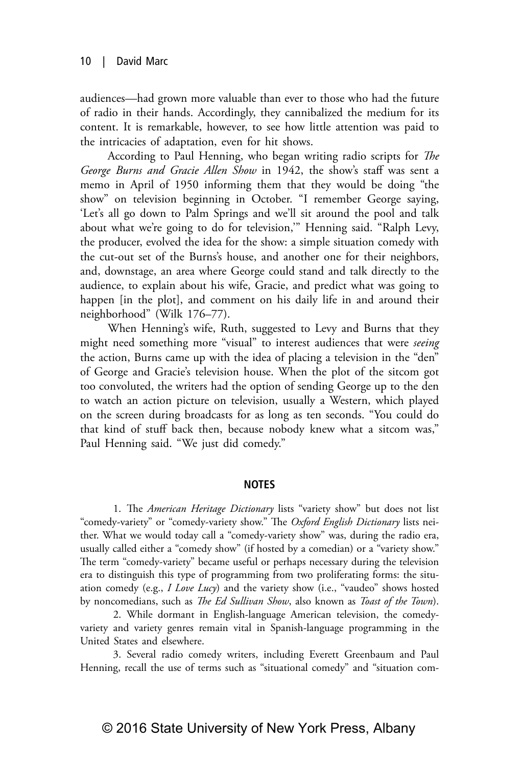audiences—had grown more valuable than ever to those who had the future of radio in their hands. Accordingly, they cannibalized the medium for its content. It is remarkable, however, to see how little attention was paid to the intricacies of adaptation, even for hit shows.

According to Paul Henning, who began writing radio scripts for *The George Burns and Gracie Allen Show* in 1942, the show's staff was sent a memo in April of 1950 informing them that they would be doing "the show" on television beginning in October. "I remember George saying, 'Let's all go down to Palm Springs and we'll sit around the pool and talk about what we're going to do for television,'" Henning said. "Ralph Levy, the producer, evolved the idea for the show: a simple situation comedy with the cut-out set of the Burns's house, and another one for their neighbors, and, downstage, an area where George could stand and talk directly to the audience, to explain about his wife, Gracie, and predict what was going to happen [in the plot], and comment on his daily life in and around their neighborhood" (Wilk 176–77).

When Henning's wife, Ruth, suggested to Levy and Burns that they might need something more "visual" to interest audiences that were *seeing* the action, Burns came up with the idea of placing a television in the "den" of George and Gracie's television house. When the plot of the sitcom got too convoluted, the writers had the option of sending George up to the den to watch an action picture on television, usually a Western, which played on the screen during broadcasts for as long as ten seconds. "You could do that kind of stuff back then, because nobody knew what a sitcom was," Paul Henning said. "We just did comedy."

#### **NOTES**

 1. The *American Heritage Dictionary* lists "variety show" but does not list "comedy-variety" or "comedy-variety show." The *Oxford English Dictionary* lists neither. What we would today call a "comedy-variety show" was, during the radio era, usually called either a "comedy show" (if hosted by a comedian) or a "variety show." The term "comedy-variety" became useful or perhaps necessary during the television era to distinguish this type of programming from two proliferating forms: the situation comedy (e.g., *I Love Lucy*) and the variety show (i.e., "vaudeo" shows hosted by noncomedians, such as *The Ed Sullivan Show*, also known as *Toast of the Town*).

 2. While dormant in English-language American television, the comedyvariety and variety genres remain vital in Spanish-language programming in the United States and elsewhere.

 3. Several radio comedy writers, including Everett Greenbaum and Paul Henning, recall the use of terms such as "situational comedy" and "situation com-

## © 2016 State University of New York Press, Albany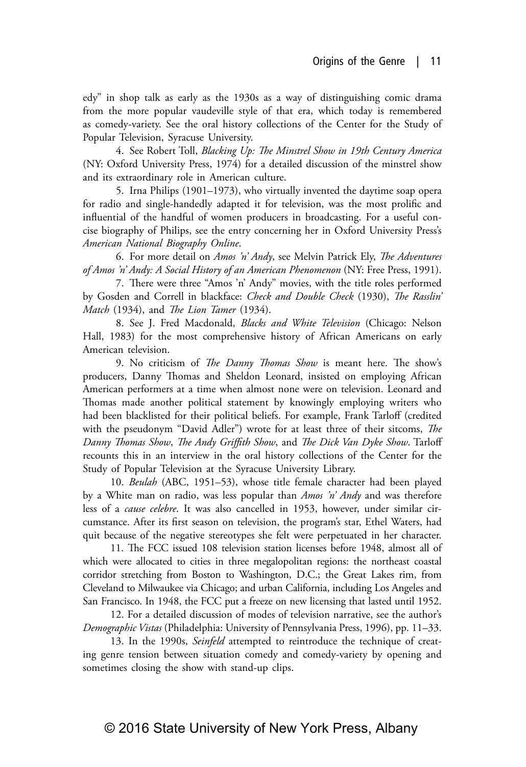edy" in shop talk as early as the 1930s as a way of distinguishing comic drama from the more popular vaudeville style of that era, which today is remembered as comedy-variety. See the oral history collections of the Center for the Study of Popular Television, Syracuse University.

 4. See Robert Toll, *Blacking Up: The Minstrel Show in 19th Century America* (NY: Oxford University Press, 1974) for a detailed discussion of the minstrel show and its extraordinary role in American culture.

 5. Irna Philips (1901–1973), who virtually invented the daytime soap opera for radio and single-handedly adapted it for television, was the most prolific and influential of the handful of women producers in broadcasting. For a useful concise biography of Philips, see the entry concerning her in Oxford University Press's *American National Biography Online*.

 6. For more detail on *Amos 'n' Andy*, see Melvin Patrick Ely, *The Adventures of Amos 'n' Andy: A Social History of an American Phenomenon* (NY: Free Press, 1991).

 7. There were three "Amos 'n' Andy" movies, with the title roles performed by Gosden and Correll in blackface: *Check and Double Check* (1930), *The Rasslin' Match* (1934), and *The Lion Tamer* (1934).

 8. See J. Fred Macdonald, *Blacks and White Television* (Chicago: Nelson Hall, 1983) for the most comprehensive history of African Americans on early American television.

 9. No criticism of *The Danny Thomas Show* is meant here. The show's producers, Danny Thomas and Sheldon Leonard, insisted on employing African American performers at a time when almost none were on television. Leonard and Thomas made another political statement by knowingly employing writers who had been blacklisted for their political beliefs. For example, Frank Tarloff (credited with the pseudonym "David Adler") wrote for at least three of their sitcoms, *The Danny Thomas Show*, *The Andy Griffith Show*, and *The Dick Van Dyke Show*. Tarloff recounts this in an interview in the oral history collections of the Center for the Study of Popular Television at the Syracuse University Library.

10. *Beulah* (ABC, 1951–53), whose title female character had been played by a White man on radio, was less popular than *Amos 'n' Andy* and was therefore less of a *cause celebre*. It was also cancelled in 1953, however, under similar circumstance. After its first season on television, the program's star, Ethel Waters, had quit because of the negative stereotypes she felt were perpetuated in her character.

11. The FCC issued 108 television station licenses before 1948, almost all of which were allocated to cities in three megalopolitan regions: the northeast coastal corridor stretching from Boston to Washington, D.C.; the Great Lakes rim, from Cleveland to Milwaukee via Chicago; and urban California, including Los Angeles and San Francisco. In 1948, the FCC put a freeze on new licensing that lasted until 1952.

12. For a detailed discussion of modes of television narrative, see the author's *Demographic Vistas* (Philadelphia: University of Pennsylvania Press, 1996), pp. 11–33.

13. In the 1990s, *Seinfeld* attempted to reintroduce the technique of creating genre tension between situation comedy and comedy-variety by opening and sometimes closing the show with stand-up clips.

# © 2016 State University of New York Press, Albany